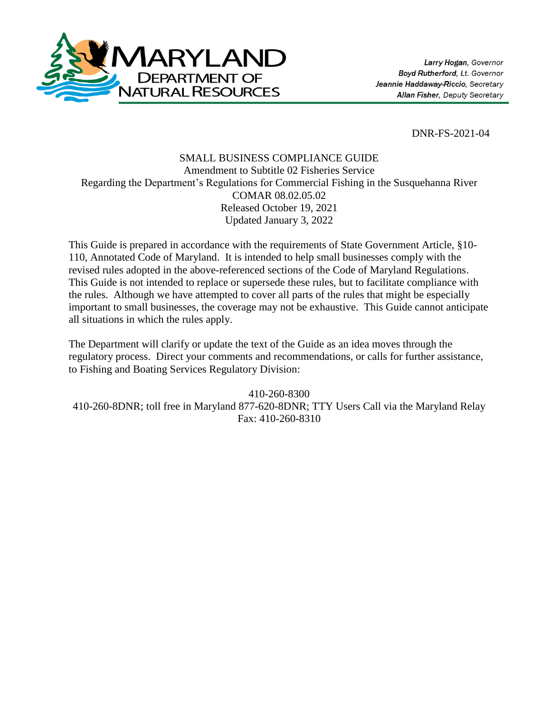

DNR-FS-2021-04

## SMALL BUSINESS COMPLIANCE GUIDE Amendment to Subtitle 02 Fisheries Service Regarding the Department's Regulations for Commercial Fishing in the Susquehanna River COMAR 08.02.05.02 Released October 19, 2021 Updated January 3, 2022

This Guide is prepared in accordance with the requirements of State Government Article, §10- 110, Annotated Code of Maryland. It is intended to help small businesses comply with the revised rules adopted in the above-referenced sections of the Code of Maryland Regulations. This Guide is not intended to replace or supersede these rules, but to facilitate compliance with the rules. Although we have attempted to cover all parts of the rules that might be especially important to small businesses, the coverage may not be exhaustive. This Guide cannot anticipate all situations in which the rules apply.

The Department will clarify or update the text of the Guide as an idea moves through the regulatory process. Direct your comments and recommendations, or calls for further assistance, to Fishing and Boating Services Regulatory Division:

410-260-8300 410-260-8DNR; toll free in Maryland 877-620-8DNR; TTY Users Call via the Maryland Relay Fax: 410-260-8310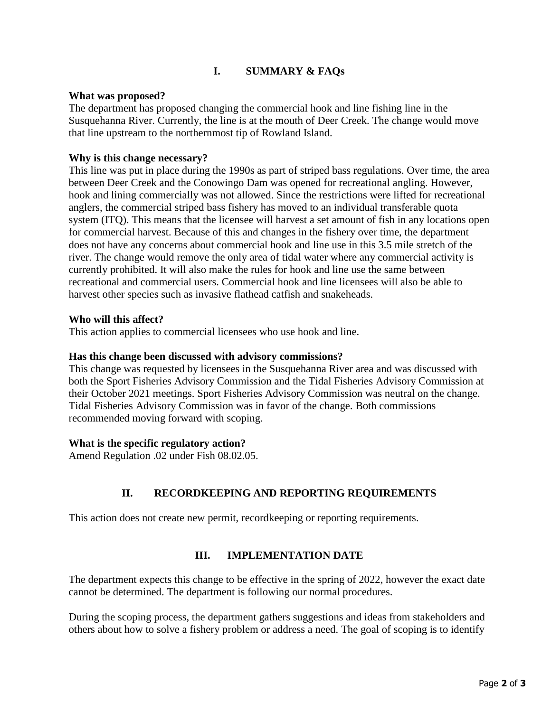# **I. SUMMARY & FAQs**

### **What was proposed?**

The department has proposed changing the commercial hook and line fishing line in the Susquehanna River. Currently, the line is at the mouth of Deer Creek. The change would move that line upstream to the northernmost tip of Rowland Island.

### **Why is this change necessary?**

This line was put in place during the 1990s as part of striped bass regulations. Over time, the area between Deer Creek and the Conowingo Dam was opened for recreational angling. However, hook and lining commercially was not allowed. Since the restrictions were lifted for recreational anglers, the commercial striped bass fishery has moved to an individual transferable quota system (ITQ). This means that the licensee will harvest a set amount of fish in any locations open for commercial harvest. Because of this and changes in the fishery over time, the department does not have any concerns about commercial hook and line use in this 3.5 mile stretch of the river. The change would remove the only area of tidal water where any commercial activity is currently prohibited. It will also make the rules for hook and line use the same between recreational and commercial users. Commercial hook and line licensees will also be able to harvest other species such as invasive flathead catfish and snakeheads.

### **Who will this affect?**

This action applies to commercial licensees who use hook and line.

#### **Has this change been discussed with advisory commissions?**

This change was requested by licensees in the Susquehanna River area and was discussed with both the Sport Fisheries Advisory Commission and the Tidal Fisheries Advisory Commission at their October 2021 meetings. Sport Fisheries Advisory Commission was neutral on the change. Tidal Fisheries Advisory Commission was in favor of the change. Both commissions recommended moving forward with scoping.

#### **What is the specific regulatory action?**

Amend Regulation .02 under Fish 08.02.05.

# **II. RECORDKEEPING AND REPORTING REQUIREMENTS**

This action does not create new permit, recordkeeping or reporting requirements.

### **III. IMPLEMENTATION DATE**

The department expects this change to be effective in the spring of 2022, however the exact date cannot be determined. The department is following our normal procedures.

During the scoping process, the department gathers suggestions and ideas from stakeholders and others about how to solve a fishery problem or address a need. The goal of scoping is to identify